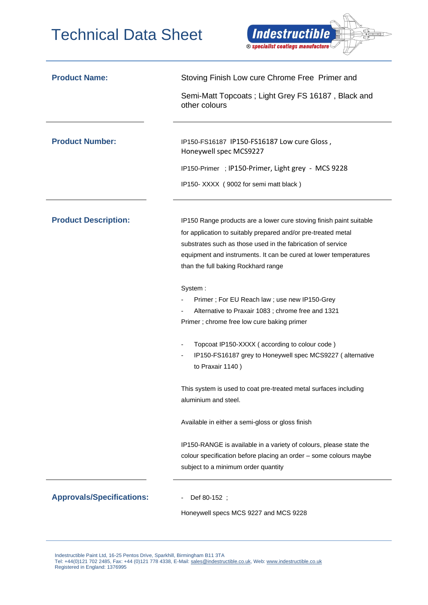

| <b>Product Name:</b>             | Stoving Finish Low cure Chrome Free Primer and                                                                                                                                 |  |
|----------------------------------|--------------------------------------------------------------------------------------------------------------------------------------------------------------------------------|--|
|                                  | Semi-Matt Topcoats; Light Grey FS 16187, Black and<br>other colours                                                                                                            |  |
| <b>Product Number:</b>           | IP150-FS16187 IP150-FS16187 Low cure Gloss,<br>Honeywell spec MCS9227                                                                                                          |  |
|                                  | IP150-Primer ; IP150-Primer, Light grey - MCS 9228                                                                                                                             |  |
|                                  | IP150-XXXX (9002 for semi matt black)                                                                                                                                          |  |
| <b>Product Description:</b>      | IP150 Range products are a lower cure stoving finish paint suitable                                                                                                            |  |
|                                  | for application to suitably prepared and/or pre-treated metal                                                                                                                  |  |
|                                  | substrates such as those used in the fabrication of service                                                                                                                    |  |
|                                  | equipment and instruments. It can be cured at lower temperatures                                                                                                               |  |
|                                  | than the full baking Rockhard range                                                                                                                                            |  |
|                                  | System:                                                                                                                                                                        |  |
|                                  | Primer; For EU Reach law; use new IP150-Grey                                                                                                                                   |  |
|                                  | Alternative to Praxair 1083; chrome free and 1321                                                                                                                              |  |
|                                  | Primer ; chrome free low cure baking primer                                                                                                                                    |  |
|                                  | Topcoat IP150-XXXX (according to colour code)                                                                                                                                  |  |
|                                  | IP150-FS16187 grey to Honeywell spec MCS9227 (alternative<br>to Praxair 1140)                                                                                                  |  |
|                                  | This system is used to coat pre-treated metal surfaces including<br>aluminium and steel.                                                                                       |  |
|                                  | Available in either a semi-gloss or gloss finish                                                                                                                               |  |
|                                  | IP150-RANGE is available in a variety of colours, please state the<br>colour specification before placing an order - some colours maybe<br>subject to a minimum order quantity |  |
| <b>Approvals/Specifications:</b> | Def 80-152 ;                                                                                                                                                                   |  |
|                                  | Honeywell specs MCS 9227 and MCS 9228                                                                                                                                          |  |

 Indestructible Paint Ltd, 16-25 Pentos Drive, Sparkhill, Birmingham B11 3TA Tel: +44(0)121 702 2485, Fax: +44 (0)121 778 4338, E-Mail[: sales@indestructible.co.uk,](mailto:sales@indestructible.co.uk) Web[: www.indestructible.co.uk](http://www.indestructible.co.uk/) Registered in England: 1376995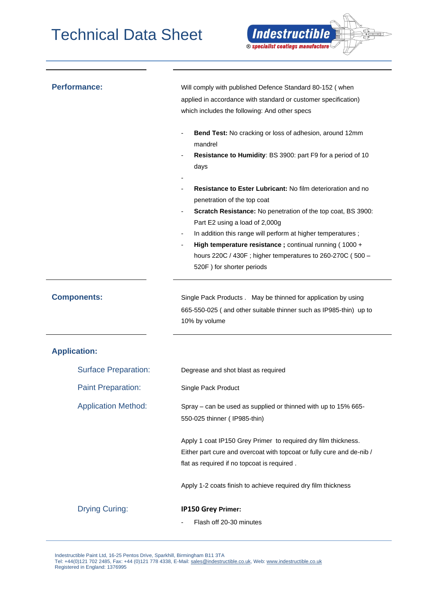| <b>Performance:</b>         | Will comply with published Defence Standard 80-152 (when                                                        |  |  |
|-----------------------------|-----------------------------------------------------------------------------------------------------------------|--|--|
|                             | applied in accordance with standard or customer specification)<br>which includes the following: And other specs |  |  |
|                             |                                                                                                                 |  |  |
|                             | Bend Test: No cracking or loss of adhesion, around 12mm<br>mandrel                                              |  |  |
|                             | Resistance to Humidity: BS 3900: part F9 for a period of 10                                                     |  |  |
|                             | days                                                                                                            |  |  |
|                             |                                                                                                                 |  |  |
|                             | Resistance to Ester Lubricant: No film deterioration and no<br>penetration of the top coat                      |  |  |
|                             | Scratch Resistance: No penetration of the top coat, BS 3900:                                                    |  |  |
|                             | Part E2 using a load of 2,000g                                                                                  |  |  |
|                             | In addition this range will perform at higher temperatures;<br>$\overline{\phantom{a}}$                         |  |  |
|                             | High temperature resistance; continual running (1000 +                                                          |  |  |
|                             | hours 220C / 430F; higher temperatures to 260-270C (500 -                                                       |  |  |
|                             | 520F) for shorter periods                                                                                       |  |  |
|                             |                                                                                                                 |  |  |
| <b>Components:</b>          | Single Pack Products . May be thinned for application by using                                                  |  |  |
|                             | 665-550-025 (and other suitable thinner such as IP985-thin) up to                                               |  |  |
|                             | 10% by volume                                                                                                   |  |  |
|                             |                                                                                                                 |  |  |
| <b>Application:</b>         |                                                                                                                 |  |  |
| <b>Surface Preparation:</b> | Degrease and shot blast as required                                                                             |  |  |
| <b>Paint Preparation:</b>   | Single Pack Product                                                                                             |  |  |
| <b>Application Method:</b>  | Spray – can be used as supplied or thinned with up to 15% 665-                                                  |  |  |
|                             | 550-025 thinner (IP985-thin)                                                                                    |  |  |
|                             | Apply 1 coat IP150 Grey Primer to required dry film thickness.                                                  |  |  |
|                             | Either part cure and overcoat with topcoat or fully cure and de-nib /                                           |  |  |
|                             | flat as required if no topcoat is required.                                                                     |  |  |
|                             | Apply 1-2 coats finish to achieve required dry film thickness                                                   |  |  |
| <b>Drying Curing:</b>       | IP150 Grey Primer:                                                                                              |  |  |
|                             | Flash off 20-30 minutes                                                                                         |  |  |
|                             |                                                                                                                 |  |  |

**Indestructible** 

<sup>®</sup> specialist coatings manufacture

 $\Rightarrow$   $>$ 

 Indestructible Paint Ltd, 16-25 Pentos Drive, Sparkhill, Birmingham B11 3TA Tel: +44(0)121 702 2485, Fax: +44 (0)121 778 4338, E-Mail[: sales@indestructible.co.uk,](mailto:sales@indestructible.co.uk) Web[: www.indestructible.co.uk](http://www.indestructible.co.uk/) Registered in England: 1376995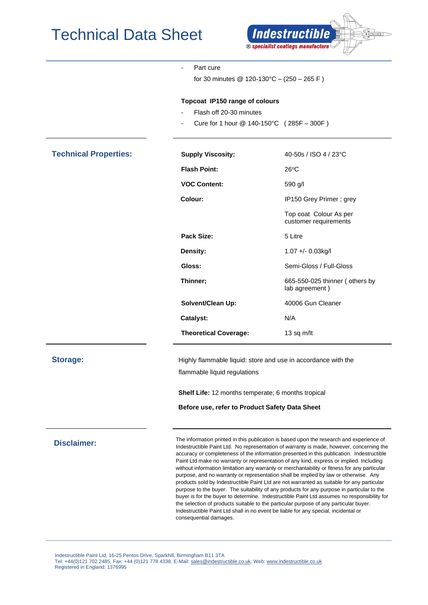

|                              | Part cure<br>for 30 minutes $@ 120-130°C - (250 - 265 F)$                                                                                                                                                                                                                                                                                                                                                                                                                                                                                                                                                                                                                                                                                                        |                                                  |
|------------------------------|------------------------------------------------------------------------------------------------------------------------------------------------------------------------------------------------------------------------------------------------------------------------------------------------------------------------------------------------------------------------------------------------------------------------------------------------------------------------------------------------------------------------------------------------------------------------------------------------------------------------------------------------------------------------------------------------------------------------------------------------------------------|--------------------------------------------------|
|                              | Topcoat IP150 range of colours<br>Flash off 20-30 minutes<br>Cure for 1 hour $@$ 140-150°C (285F - 300F)                                                                                                                                                                                                                                                                                                                                                                                                                                                                                                                                                                                                                                                         |                                                  |
| <b>Technical Properties:</b> | <b>Supply Viscosity:</b>                                                                                                                                                                                                                                                                                                                                                                                                                                                                                                                                                                                                                                                                                                                                         | 40-50s / ISO 4 / 23°C                            |
|                              | <b>Flash Point:</b>                                                                                                                                                                                                                                                                                                                                                                                                                                                                                                                                                                                                                                                                                                                                              | $26^{\circ}$ C                                   |
|                              | <b>VOC Content:</b>                                                                                                                                                                                                                                                                                                                                                                                                                                                                                                                                                                                                                                                                                                                                              | 590 g/l                                          |
|                              | Colour:                                                                                                                                                                                                                                                                                                                                                                                                                                                                                                                                                                                                                                                                                                                                                          | IP150 Grey Primer; grey                          |
|                              |                                                                                                                                                                                                                                                                                                                                                                                                                                                                                                                                                                                                                                                                                                                                                                  | Top coat Colour As per<br>customer requirements  |
|                              | Pack Size:                                                                                                                                                                                                                                                                                                                                                                                                                                                                                                                                                                                                                                                                                                                                                       | 5 Litre                                          |
|                              | Density:                                                                                                                                                                                                                                                                                                                                                                                                                                                                                                                                                                                                                                                                                                                                                         | 1.07 +/- 0.03kg/l                                |
|                              | Gloss:                                                                                                                                                                                                                                                                                                                                                                                                                                                                                                                                                                                                                                                                                                                                                           | Semi-Gloss / Full-Gloss                          |
|                              | Thinner;                                                                                                                                                                                                                                                                                                                                                                                                                                                                                                                                                                                                                                                                                                                                                         | 665-550-025 thinner (others by<br>lab agreement) |
|                              | Solvent/Clean Up:                                                                                                                                                                                                                                                                                                                                                                                                                                                                                                                                                                                                                                                                                                                                                | 40006 Gun Cleaner                                |
|                              | <b>Catalyst:</b>                                                                                                                                                                                                                                                                                                                                                                                                                                                                                                                                                                                                                                                                                                                                                 | N/A                                              |
|                              | <b>Theoretical Coverage:</b>                                                                                                                                                                                                                                                                                                                                                                                                                                                                                                                                                                                                                                                                                                                                     | 13 sq m/lt                                       |
| <b>Storage:</b>              | Highly flammable liquid: store and use in accordance with the<br>flammable liquid regulations                                                                                                                                                                                                                                                                                                                                                                                                                                                                                                                                                                                                                                                                    |                                                  |
|                              | Shelf Life: 12 months temperate; 6 months tropical<br>Before use, refer to Product Safety Data Sheet                                                                                                                                                                                                                                                                                                                                                                                                                                                                                                                                                                                                                                                             |                                                  |
| <b>Disclaimer:</b>           | The information printed in this publication is based upon the research and experience of<br>Indestructible Paint Ltd. No representation of warranty is made, however, concerning the<br>accuracy or completeness of the information presented in this publication. Indestructible<br>Paint Ltd make no warranty or representation of any kind, express or implied. Including<br>without information limitation any warranty or merchantability or fitness for any particular<br>purpose, and no warranty or representation shall be implied by law or otherwise. Any<br>products sold by Indestructible Paint Ltd are not warranted as suitable for any particular<br>purpose to the buyer. The suitability of any products for any purpose in particular to the |                                                  |

buyer is for the buyer to determine. Indestructible Paint Ltd assumes no responsibility for the selection of products suitable to the particular purpose of any particular buyer. Indestructible Paint Ltd shall in no event be liable for any special, incidental or

 Indestructible Paint Ltd, 16-25 Pentos Drive, Sparkhill, Birmingham B11 3TA Tel: +44(0)121 702 2485, Fax: +44 (0)121 778 4338, E-Mail[: sales@indestructible.co.uk,](mailto:sales@indestructible.co.uk) Web[: www.indestructible.co.uk](http://www.indestructible.co.uk/) Registered in England: 1376995

consequential damages.